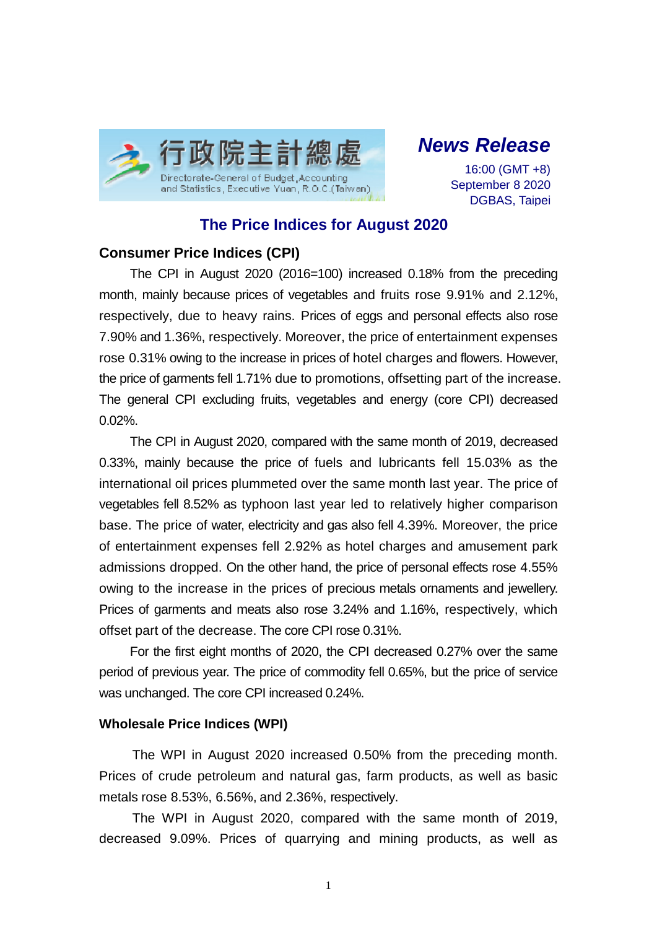

# *News Release*

16:00 (GMT +8) September 8 2020 DGBAS, Taipei

## **The Price Indices for August 2020**

### **Consumer Price Indices (CPI)**

The CPI in August 2020 (2016=100) increased 0.18% from the preceding month, mainly because prices of vegetables and fruits rose 9.91% and 2.12%, respectively, due to heavy rains. Prices of eggs and personal effects also rose 7.90% and 1.36%, respectively. Moreover, the price of entertainment expenses rose 0.31% owing to the increase in prices of hotel charges and flowers. However, the price of garments fell 1.71% due to promotions, offsetting part of the increase. The general CPI excluding fruits, vegetables and energy (core CPI) decreased 0.02%.

The CPI in August 2020, compared with the same month of 2019, decreased 0.33%, mainly because the price of fuels and lubricants fell 15.03% as the international oil prices plummeted over the same month last year. The price of vegetables fell 8.52% as typhoon last year led to relatively higher comparison base. The price of water, electricity and gas also fell 4.39%. Moreover, the price of entertainment expenses fell 2.92% as hotel charges and amusement park admissions dropped. On the other hand, the price of personal effects rose 4.55% owing to the increase in the prices of precious metals ornaments and jewellery. Prices of garments and meats also rose 3.24% and 1.16%, respectively, which offset part of the decrease. The core CPI rose 0.31%.

For the first eight months of 2020, the CPI decreased 0.27% over the same period of previous year. The price of commodity fell 0.65%, but the price of service was unchanged. The core CPI increased 0.24%.

#### **Wholesale Price Indices (WPI)**

The WPI in August 2020 increased 0.50% from the preceding month. Prices of crude petroleum and natural gas, farm products, as well as basic metals rose 8.53%, 6.56%, and 2.36%, respectively.

The WPI in August 2020, compared with the same month of 2019, decreased 9.09%. Prices of quarrying and mining products, as well as